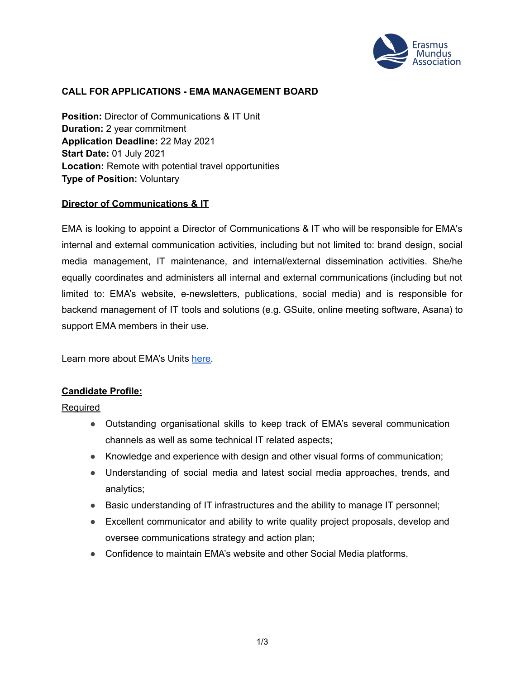

### **CALL FOR APPLICATIONS - EMA MANAGEMENT BOARD**

**Position:** Director of Communications & IT Unit **Duration:** 2 year commitment **Application Deadline:** 22 May 2021 **Start Date:** 01 July 2021 **Location:** Remote with potential travel opportunities **Type of Position:** Voluntary

#### **Director of Communications & IT**

EMA is looking to appoint a Director of Communications & IT who will be responsible for EMA's internal and external communication activities, including but not limited to: brand design, social media management, IT maintenance, and internal/external dissemination activities. She/he equally coordinates and administers all internal and external communications (including but not limited to: EMA's website, e-newsletters, publications, social media) and is responsible for backend management of IT tools and solutions (e.g. GSuite, online meeting software, Asana) to support EMA members in their use.

Learn more about EMA's Units [here.](https://www.em-a.eu/structure-and-history)

#### **Candidate Profile:**

**Required** 

- Outstanding organisational skills to keep track of EMA's several communication channels as well as some technical IT related aspects;
- Knowledge and experience with design and other visual forms of communication;
- Understanding of social media and latest social media approaches, trends, and analytics;
- Basic understanding of IT infrastructures and the ability to manage IT personnel;
- Excellent communicator and ability to write quality project proposals, develop and oversee communications strategy and action plan;
- Confidence to maintain EMA's website and other Social Media platforms.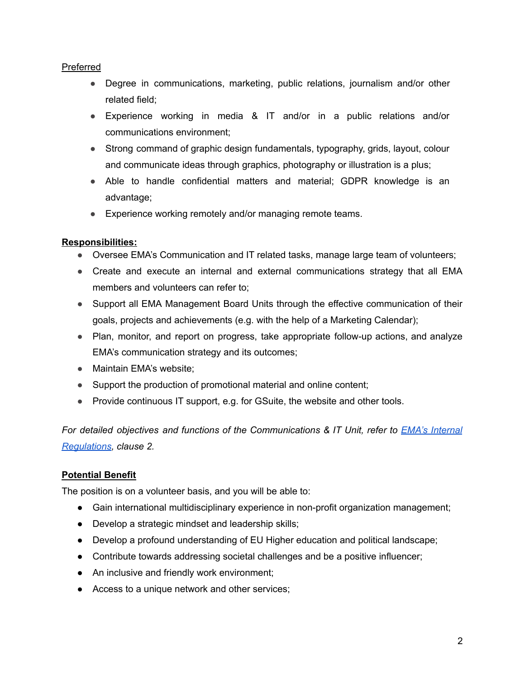### Preferred

- Degree in communications, marketing, public relations, journalism and/or other related field;
- Experience working in media & IT and/or in a public relations and/or communications environment;
- Strong command of graphic design fundamentals, typography, grids, layout, colour and communicate ideas through graphics, photography or illustration is a plus;
- Able to handle confidential matters and material; GDPR knowledge is an advantage;
- Experience working remotely and/or managing remote teams.

## **Responsibilities:**

- Oversee EMA's Communication and IT related tasks, manage large team of volunteers;
- Create and execute an internal and external communications strategy that all EMA members and volunteers can refer to;
- Support all EMA Management Board Units through the effective communication of their goals, projects and achievements (e.g. with the help of a Marketing Calendar);
- Plan, monitor, and report on progress, take appropriate follow-up actions, and analyze EMA's communication strategy and its outcomes;
- Maintain EMA's website;
- Support the production of promotional material and online content;
- Provide continuous IT support, e.g. for GSuite, the website and other tools.

*For detailed objectives and functions of the Communications & IT Unit, refer to EMA's [Internal](https://www.em-a.eu/documents) [Regulations](https://www.em-a.eu/documents), clause 2.*

## **Potential Benefit**

The position is on a volunteer basis, and you will be able to:

- **●** Gain international multidisciplinary experience in non-profit organization management;
- **●** Develop a strategic mindset and leadership skills;
- **●** Develop a profound understanding of EU Higher education and political landscape;
- **●** Contribute towards addressing societal challenges and be a positive influencer;
- **●** An inclusive and friendly work environment;
- **●** Access to a unique network and other services;